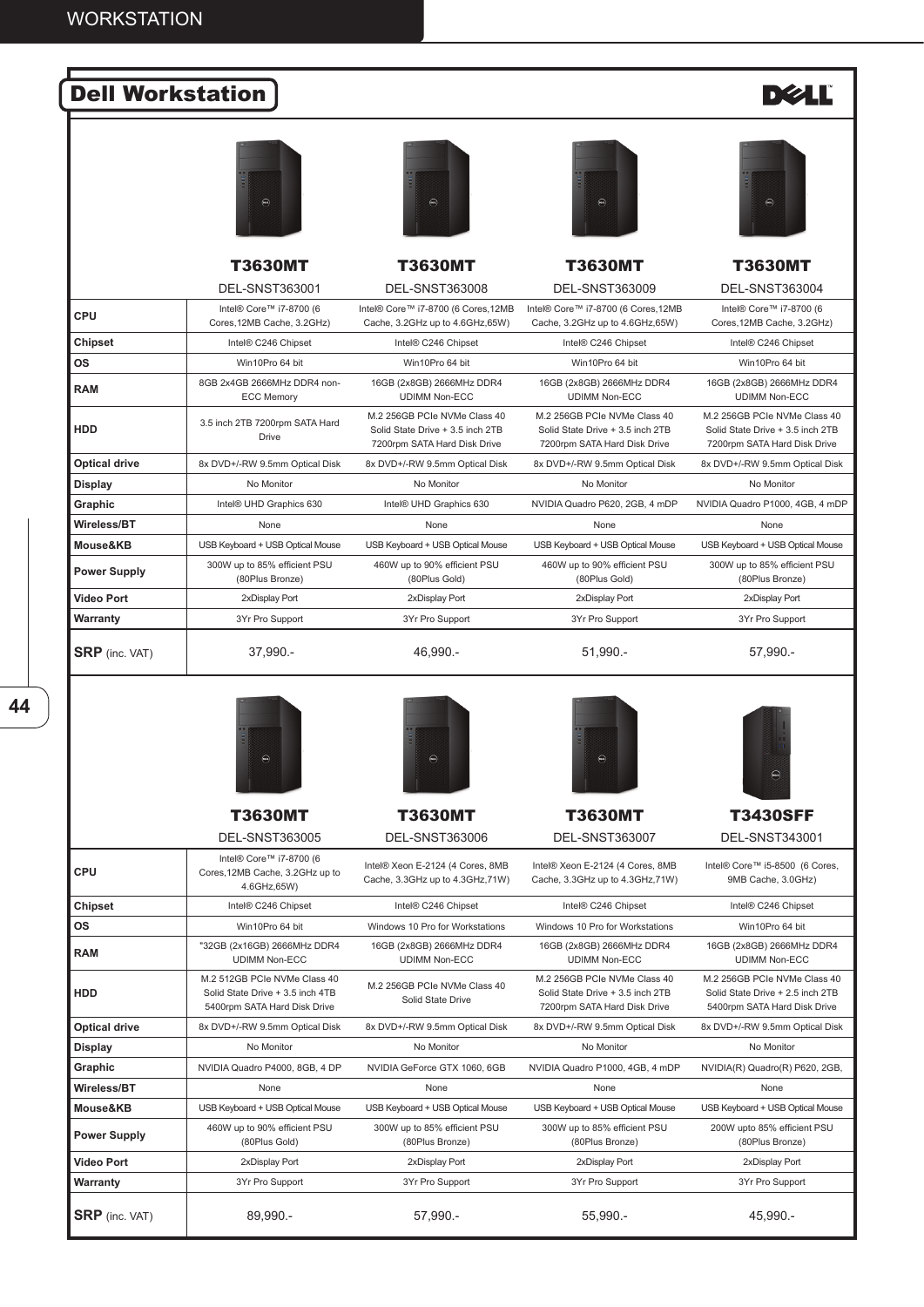| <b>Dell Workstation</b> |                                                                                                  |                                                                                                  |                                                                                                  | <b>DØL</b>                                                                                       |
|-------------------------|--------------------------------------------------------------------------------------------------|--------------------------------------------------------------------------------------------------|--------------------------------------------------------------------------------------------------|--------------------------------------------------------------------------------------------------|
|                         | $\bigcirc$                                                                                       | $\bigcirc$                                                                                       | $\textcolor{blue}{\textcircled{\tiny \textcircled{\tiny \textcirc}}}$                            | $\bigcirc$                                                                                       |
|                         | <b>T3630MT</b>                                                                                   | T3630MT                                                                                          | <b>T3630MT</b>                                                                                   | T3630MT                                                                                          |
|                         | <b>DEL-SNST363001</b>                                                                            | <b>DEL-SNST363008</b>                                                                            | <b>DEL-SNST363009</b>                                                                            | <b>DEL-SNST363004</b>                                                                            |
| <b>CPU</b>              | Intel® Core™ i7-8700 (6<br>Cores, 12MB Cache, 3.2GHz)                                            | Intel® Core™ i7-8700 (6 Cores,12MB<br>Cache, 3.2GHz up to 4.6GHz, 65W)                           | Intel® Core™ i7-8700 (6 Cores,12MB<br>Cache, 3.2GHz up to 4.6GHz, 65W)                           | Intel® Core™ i7-8700 (6<br>Cores, 12MB Cache, 3.2GHz)                                            |
| Chipset                 | Intel® C246 Chipset                                                                              | Intel® C246 Chipset                                                                              | Intel® C246 Chipset                                                                              | Intel® C246 Chipset                                                                              |
| <b>OS</b>               | Win10Pro 64 bit                                                                                  | Win10Pro 64 bit                                                                                  | Win10Pro 64 bit                                                                                  | Win10Pro 64 bit                                                                                  |
| <b>RAM</b>              | 8GB 2x4GB 2666MHz DDR4 non-<br><b>ECC Memory</b>                                                 | 16GB (2x8GB) 2666MHz DDR4<br><b>UDIMM Non-ECC</b>                                                | 16GB (2x8GB) 2666MHz DDR4<br><b>UDIMM Non-ECC</b>                                                | 16GB (2x8GB) 2666MHz DDR4<br><b>UDIMM Non-ECC</b>                                                |
| <b>HDD</b>              | 3.5 inch 2TB 7200rpm SATA Hard<br>Drive                                                          | M.2 256GB PCIe NVMe Class 40<br>Solid State Drive + 3.5 inch 2TB<br>7200rpm SATA Hard Disk Drive | M.2 256GB PCIe NVMe Class 40<br>Solid State Drive + 3.5 inch 2TB<br>7200rpm SATA Hard Disk Drive | M.2 256GB PCIe NVMe Class 40<br>Solid State Drive + 3.5 inch 2TB<br>7200rpm SATA Hard Disk Drive |
| <b>Optical drive</b>    | 8x DVD+/-RW 9.5mm Optical Disk                                                                   | 8x DVD+/-RW 9.5mm Optical Disk                                                                   | 8x DVD+/-RW 9.5mm Optical Disk                                                                   | 8x DVD+/-RW 9.5mm Optical Disk                                                                   |
| <b>Display</b>          | No Monitor                                                                                       | No Monitor                                                                                       | No Monitor                                                                                       | No Monitor                                                                                       |
| Graphic                 | Intel® UHD Graphics 630                                                                          | Intel® UHD Graphics 630                                                                          | NVIDIA Quadro P620, 2GB, 4 mDP                                                                   | NVIDIA Quadro P1000, 4GB, 4 mDP                                                                  |
| Wireless/BT             | None                                                                                             | None                                                                                             | None                                                                                             | None                                                                                             |
| Mouse&KB                | USB Keyboard + USB Optical Mouse                                                                 | USB Keyboard + USB Optical Mouse                                                                 | USB Keyboard + USB Optical Mouse                                                                 | USB Keyboard + USB Optical Mouse                                                                 |
| <b>Power Supply</b>     | 300W up to 85% efficient PSU<br>(80Plus Bronze)                                                  | 460W up to 90% efficient PSU<br>(80Plus Gold)                                                    | 460W up to 90% efficient PSU<br>(80Plus Gold)                                                    | 300W up to 85% efficient PSU<br>(80Plus Bronze)                                                  |
| <b>Video Port</b>       | 2xDisplay Port                                                                                   | 2xDisplay Port                                                                                   | 2xDisplay Port                                                                                   | 2xDisplay Port                                                                                   |
| Warranty                | 3Yr Pro Support                                                                                  | 3Yr Pro Support                                                                                  | 3Yr Pro Support                                                                                  | 3Yr Pro Support                                                                                  |
| <b>SRP</b> (inc. VAT)   | 37,990.-                                                                                         | 46,990.-                                                                                         | $51,990. -$                                                                                      | 57,990.-                                                                                         |
|                         | $\bigcirc$                                                                                       | $\bigcirc$                                                                                       | $\textcircled{\tiny{H}}$                                                                         | $\bigcirc$                                                                                       |
|                         | T3630MT                                                                                          | T3630MT                                                                                          | <b>T3630MT</b>                                                                                   | <b>T3430SFF</b>                                                                                  |
|                         | <b>DEL-SNST363005</b>                                                                            | <b>DEL-SNST363006</b>                                                                            | DEL-SNST363007                                                                                   | DEL-SNST343001                                                                                   |
| <b>CPU</b>              | Intel® Core™ i7-8700 (6<br>Cores, 12MB Cache, 3.2GHz up to<br>4.6GHz,65W)                        | Intel® Xeon E-2124 (4 Cores, 8MB<br>Cache, 3.3GHz up to 4.3GHz, 71W)                             | Intel® Xeon E-2124 (4 Cores, 8MB<br>Cache, 3.3GHz up to 4.3GHz, 71W)                             | Intel® Core™ i5-8500 (6 Cores,<br>9MB Cache, 3.0GHz)                                             |
| Chipset                 | Intel® C246 Chipset                                                                              | Intel® C246 Chipset                                                                              | Intel® C246 Chipset                                                                              | Intel® C246 Chipset                                                                              |
| <b>OS</b>               | Win10Pro 64 bit                                                                                  | Windows 10 Pro for Workstations                                                                  | Windows 10 Pro for Workstations                                                                  | Win10Pro 64 bit                                                                                  |
| <b>RAM</b>              | "32GB (2x16GB) 2666MHz DDR4<br><b>UDIMM Non-ECC</b>                                              | 16GB (2x8GB) 2666MHz DDR4<br><b>UDIMM Non-ECC</b>                                                | 16GB (2x8GB) 2666MHz DDR4<br><b>UDIMM Non-ECC</b>                                                | 16GB (2x8GB) 2666MHz DDR4<br><b>UDIMM Non-ECC</b>                                                |
| HDD                     | M.2 512GB PCIe NVMe Class 40<br>Solid State Drive + 3.5 inch 4TB<br>5400rpm SATA Hard Disk Drive | M.2 256GB PCIe NVMe Class 40<br>Solid State Drive                                                | M.2 256GB PCIe NVMe Class 40<br>Solid State Drive + 3.5 inch 2TB<br>7200rpm SATA Hard Disk Drive | M.2 256GB PCIe NVMe Class 40<br>Solid State Drive + 2.5 inch 2TB<br>5400rpm SATA Hard Disk Drive |
| <b>Optical drive</b>    | 8x DVD+/-RW 9.5mm Optical Disk                                                                   | 8x DVD+/-RW 9.5mm Optical Disk                                                                   | 8x DVD+/-RW 9.5mm Optical Disk                                                                   | 8x DVD+/-RW 9.5mm Optical Disk                                                                   |

**Display** No Monitor No Monitor No Monitor No Monitor No Monitor No Monitor No Monitor No Monitor **Graphic** NVIDIA Quadro P4000, 8GB, 4 DP NVIDIA GeForce GTX 1060, 6GB NVIDIA Quadro P1000, 4GB, 4 mDP NVIDIA(R) Quadro(R) P620, 2GB,

**Wireless/BT** None None None None

300W up to 85% efficient PSU (80Plus Bronze)

**Video Port** 2xDisplay Port 2xDisplay Port 2xDisplay Port 2xDisplay Port **Warranty** 3Yr Pro Support 3Yr Pro Support 3Yr Pro Support 3Yr Pro Support 3Yr Pro Support 3Yr Pro Support 3Yr Pro Support

**SRP** (inc. VAT) 89,990.- 57,990.- 57,990.- 55,990.- 55,990.- 55,990.-

**Power Supply** 460W up to 90% efficient PSU

.<br>(80Plus Gold)

**Mouse&KB** USB Keyboard + USB Optical Mouse USB Keyboard + USB Optical Mouse USB Keyboard + USB Optical Mouse USB Keyboard + USB Optical Mouse

300W up to 85% efficient PSU (80Plus Bronze)

200W upto 85% efficient PSU (80Plus Bronze)

**44**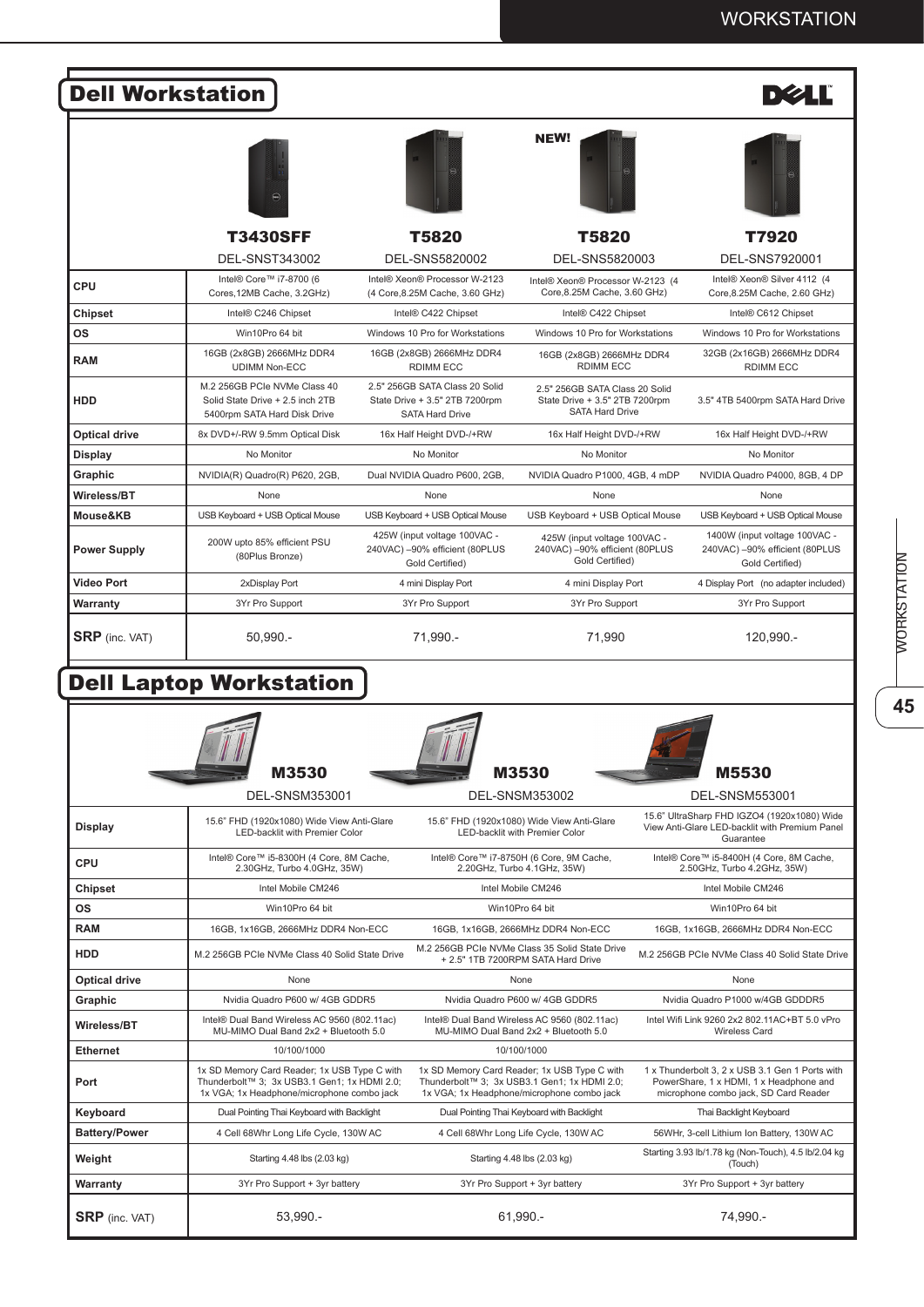| <b>Dell Workstation</b> |                                                                                                  |                                                                                            |                                                                                            | <b>DØLI</b>                                                                        |
|-------------------------|--------------------------------------------------------------------------------------------------|--------------------------------------------------------------------------------------------|--------------------------------------------------------------------------------------------|------------------------------------------------------------------------------------|
|                         |                                                                                                  |                                                                                            | <b>NEW!</b>                                                                                |                                                                                    |
|                         | <b>T3430SFF</b>                                                                                  | <b>T5820</b>                                                                               | T5820                                                                                      | T7920                                                                              |
|                         | <b>DEL-SNST343002</b>                                                                            | DEL-SNS5820002                                                                             | DEL-SNS5820003                                                                             | DEL-SNS7920001                                                                     |
| <b>CPU</b>              | Intel® Core™ i7-8700 (6<br>Cores, 12MB Cache, 3.2GHz)                                            | Intel® Xeon® Processor W-2123<br>(4 Core, 8.25M Cache, 3.60 GHz)                           | Intel® Xeon® Processor W-2123 (4<br>Core, 8.25M Cache, 3.60 GHz)                           | Intel® Xeon® Silver 4112 (4<br>Core, 8.25M Cache, 2.60 GHz)                        |
| Chipset                 | Intel® C246 Chipset                                                                              | Intel® C422 Chipset                                                                        | Intel® C422 Chipset                                                                        | Intel® C612 Chipset                                                                |
| <b>OS</b>               | Win10Pro 64 bit                                                                                  | Windows 10 Pro for Workstations                                                            | Windows 10 Pro for Workstations                                                            | Windows 10 Pro for Workstations                                                    |
| <b>RAM</b>              | 16GB (2x8GB) 2666MHz DDR4<br><b>UDIMM Non-ECC</b>                                                | 16GB (2x8GB) 2666MHz DDR4<br><b>RDIMM ECC</b>                                              | 16GB (2x8GB) 2666MHz DDR4<br><b>RDIMM ECC</b>                                              | 32GB (2x16GB) 2666MHz DDR4<br><b>RDIMM ECC</b>                                     |
| <b>HDD</b>              | M.2 256GB PCIe NVMe Class 40<br>Solid State Drive + 2.5 inch 2TB<br>5400rpm SATA Hard Disk Drive | 2.5" 256GB SATA Class 20 Solid<br>State Drive + 3.5" 2TB 7200rpm<br><b>SATA Hard Drive</b> | 2.5" 256GB SATA Class 20 Solid<br>State Drive + 3.5" 2TB 7200rpm<br><b>SATA Hard Drive</b> | 3.5" 4TB 5400rpm SATA Hard Drive                                                   |
| <b>Optical drive</b>    | 8x DVD+/-RW 9.5mm Optical Disk                                                                   | 16x Half Height DVD-/+RW                                                                   | 16x Half Height DVD-/+RW                                                                   | 16x Half Height DVD-/+RW                                                           |
| <b>Display</b>          | No Monitor                                                                                       | No Monitor                                                                                 | No Monitor                                                                                 | No Monitor                                                                         |
| Graphic                 | NVIDIA(R) Quadro(R) P620, 2GB,                                                                   | Dual NVIDIA Quadro P600, 2GB.                                                              | NVIDIA Quadro P1000, 4GB, 4 mDP                                                            | NVIDIA Quadro P4000, 8GB, 4 DP                                                     |
| Wireless/BT             | None                                                                                             | None                                                                                       | None                                                                                       | None                                                                               |
| Mouse&KB                | USB Keyboard + USB Optical Mouse                                                                 | USB Keyboard + USB Optical Mouse                                                           | USB Keyboard + USB Optical Mouse                                                           | USB Keyboard + USB Optical Mouse                                                   |
| <b>Power Supply</b>     | 200W upto 85% efficient PSU<br>(80Plus Bronze)                                                   | 425W (input voltage 100VAC -<br>240VAC) -90% efficient (80PLUS<br>Gold Certified)          | 425W (input voltage 100VAC -<br>240VAC) -90% efficient (80PLUS<br>Gold Certified)          | 1400W (input voltage 100VAC -<br>240VAC) -90% efficient (80PLUS<br>Gold Certified) |
| <b>Video Port</b>       | 2xDisplay Port                                                                                   | 4 mini Display Port                                                                        | 4 mini Display Port                                                                        | 4 Display Port (no adapter included)                                               |
| Warranty                | 3Yr Pro Support                                                                                  | 3Yr Pro Support                                                                            | 3Yr Pro Support                                                                            | 3Yr Pro Support                                                                    |
| <b>SRP</b> (inc. VAT)   | $50.990 -$                                                                                       | 71.990.-                                                                                   | 71.990                                                                                     | 120.990.-                                                                          |

## Dell Laptop Workstation

Г

|                       | M3530                                                                                                                                      | M3530                                                                                                                                      | M5530                                                                                                                               |
|-----------------------|--------------------------------------------------------------------------------------------------------------------------------------------|--------------------------------------------------------------------------------------------------------------------------------------------|-------------------------------------------------------------------------------------------------------------------------------------|
|                       | <b>DEL-SNSM353001</b>                                                                                                                      | <b>DEL-SNSM353002</b>                                                                                                                      | <b>DEL-SNSM553001</b>                                                                                                               |
| <b>Display</b>        | 15.6" FHD (1920x1080) Wide View Anti-Glare<br>I ED-backlit with Premier Color                                                              | 15.6" FHD (1920x1080) Wide View Anti-Glare<br><b>LED-backlit with Premier Color</b>                                                        | 15.6" UltraSharp FHD IGZO4 (1920x1080) Wide<br>View Anti-Glare LED-backlit with Premium Panel<br>Guarantee                          |
| CPU                   | Intel® Core™ i5-8300H (4 Core, 8M Cache,<br>2.30GHz, Turbo 4.0GHz, 35W)                                                                    | Intel® Core™ i7-8750H (6 Core, 9M Cache,<br>2.20GHz. Turbo 4.1GHz. 35W)                                                                    | Intel® Core™ i5-8400H (4 Core, 8M Cache,<br>2.50GHz. Turbo 4.2GHz. 35W)                                                             |
| <b>Chipset</b>        | Intel Mobile CM246                                                                                                                         | Intel Mobile CM246                                                                                                                         | Intel Mobile CM246                                                                                                                  |
| <b>OS</b>             | Win10Pro 64 bit                                                                                                                            | Win10Pro 64 bit                                                                                                                            | Win10Pro 64 bit                                                                                                                     |
| <b>RAM</b>            | 16GB, 1x16GB, 2666MHz DDR4 Non-ECC                                                                                                         | 16GB, 1x16GB, 2666MHz DDR4 Non-ECC                                                                                                         | 16GB, 1x16GB, 2666MHz DDR4 Non-ECC                                                                                                  |
| <b>HDD</b>            | M.2 256GB PCIe NVMe Class 40 Solid State Drive                                                                                             | M.2 256GB PCIe NVMe Class 35 Solid State Drive<br>+ 2.5" 1TB 7200RPM SATA Hard Drive                                                       | M.2 256GB PCIe NVMe Class 40 Solid State Drive                                                                                      |
| <b>Optical drive</b>  | None                                                                                                                                       | None                                                                                                                                       | None                                                                                                                                |
| Graphic               | Nvidia Quadro P600 w/ 4GB GDDR5                                                                                                            | Nvidia Quadro P600 w/ 4GB GDDR5                                                                                                            | Nvidia Quadro P1000 w/4GB GDDDR5                                                                                                    |
| Wireless/BT           | Intel® Dual Band Wireless AC 9560 (802.11ac)<br>MU-MIMO Dual Band 2x2 + Bluetooth 5.0                                                      | Intel® Dual Band Wireless AC 9560 (802.11ac)<br>MU-MIMO Dual Band 2x2 + Bluetooth 5.0                                                      | Intel Wifi Link 9260 2x2 802.11AC+BT 5.0 vPro<br><b>Wireless Card</b>                                                               |
| <b>Ethernet</b>       | 10/100/1000                                                                                                                                | 10/100/1000                                                                                                                                |                                                                                                                                     |
| Port                  | 1x SD Memory Card Reader; 1x USB Type C with<br>Thunderbolt™ 3; 3x USB3.1 Gen1; 1x HDMI 2.0;<br>1x VGA; 1x Headphone/microphone combo jack | 1x SD Memory Card Reader; 1x USB Type C with<br>Thunderbolt™ 3; 3x USB3.1 Gen1; 1x HDMI 2.0;<br>1x VGA; 1x Headphone/microphone combo jack | 1 x Thunderbolt 3, 2 x USB 3.1 Gen 1 Ports with<br>PowerShare, 1 x HDMI, 1 x Headphone and<br>microphone combo jack, SD Card Reader |
| Keyboard              | Dual Pointing Thai Keyboard with Backlight                                                                                                 | Dual Pointing Thai Keyboard with Backlight                                                                                                 | Thai Backlight Keyboard                                                                                                             |
| <b>Battery/Power</b>  | 4 Cell 68Whr Long Life Cycle, 130W AC                                                                                                      | 4 Cell 68Whr Long Life Cycle, 130W AC                                                                                                      | 56WHr, 3-cell Lithium Ion Battery, 130W AC                                                                                          |
| Weight                | Starting 4.48 lbs (2.03 kg)                                                                                                                | Starting 4.48 lbs (2.03 kg)                                                                                                                | Starting 3.93 lb/1.78 kg (Non-Touch), 4.5 lb/2.04 kg<br>(Touch)                                                                     |
| Warranty              | 3Yr Pro Support + 3yr battery                                                                                                              | 3Yr Pro Support + 3yr battery                                                                                                              | 3Yr Pro Support + 3yr battery                                                                                                       |
| <b>SRP</b> (inc. VAT) | 53,990.-                                                                                                                                   | 61,990.-                                                                                                                                   | 74,990.-                                                                                                                            |

45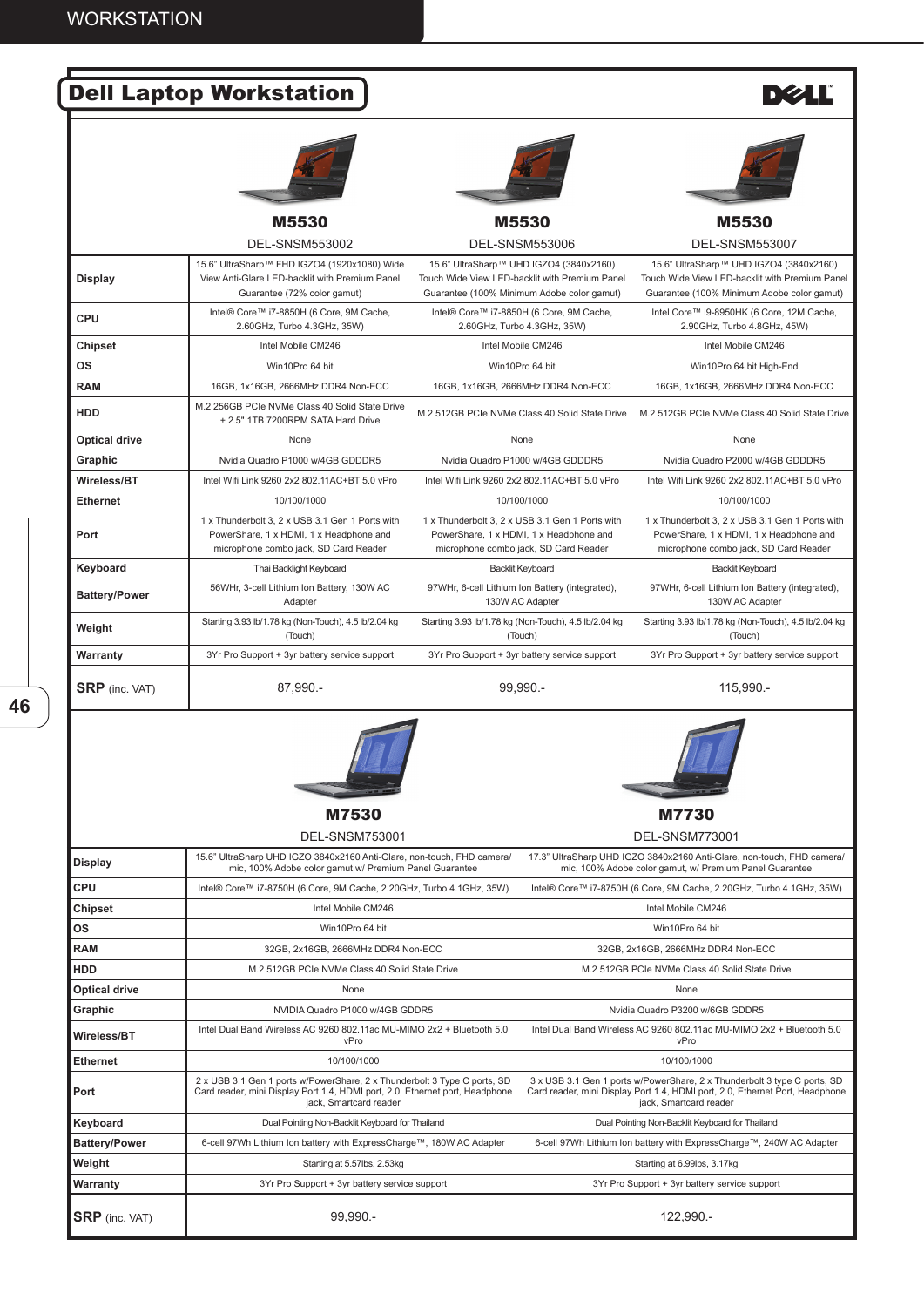|                       | <b>Dell Laptop Workstation</b>                                                                                                      |                                                                                                                                         | <b>DZLL</b>                                                                                                                             |
|-----------------------|-------------------------------------------------------------------------------------------------------------------------------------|-----------------------------------------------------------------------------------------------------------------------------------------|-----------------------------------------------------------------------------------------------------------------------------------------|
|                       |                                                                                                                                     |                                                                                                                                         |                                                                                                                                         |
|                       | M5530                                                                                                                               | M5530                                                                                                                                   | M5530                                                                                                                                   |
|                       | <b>DEL-SNSM553002</b>                                                                                                               | <b>DEL-SNSM553006</b>                                                                                                                   | <b>DEL-SNSM553007</b>                                                                                                                   |
| <b>Display</b>        | 15.6" UltraSharp™ FHD IGZO4 (1920x1080) Wide<br>View Anti-Glare LED-backlit with Premium Panel<br>Guarantee (72% color gamut)       | 15.6" UltraSharp™ UHD IGZO4 (3840x2160)<br>Touch Wide View LED-backlit with Premium Panel<br>Guarantee (100% Minimum Adobe color gamut) | 15.6" UltraSharp™ UHD IGZO4 (3840x2160)<br>Touch Wide View LED-backlit with Premium Panel<br>Guarantee (100% Minimum Adobe color gamut) |
| CPU                   | Intel® Core™ i7-8850H (6 Core, 9M Cache,<br>2.60GHz, Turbo 4.3GHz, 35W)                                                             | Intel® Core™ i7-8850H (6 Core, 9M Cache,<br>2.60GHz, Turbo 4.3GHz, 35W)                                                                 | Intel Core™ i9-8950HK (6 Core, 12M Cache,<br>2.90GHz, Turbo 4.8GHz, 45W)                                                                |
| Chipset               | Intel Mobile CM246                                                                                                                  | Intel Mobile CM246                                                                                                                      | Intel Mobile CM246                                                                                                                      |
| OS                    | Win10Pro 64 bit                                                                                                                     | Win10Pro 64 bit                                                                                                                         | Win10Pro 64 bit High-End                                                                                                                |
| <b>RAM</b>            | 16GB, 1x16GB, 2666MHz DDR4 Non-ECC                                                                                                  | 16GB, 1x16GB, 2666MHz DDR4 Non-ECC                                                                                                      | 16GB, 1x16GB, 2666MHz DDR4 Non-ECC                                                                                                      |
| <b>HDD</b>            | M.2 256GB PCIe NVMe Class 40 Solid State Drive<br>+ 2.5" 1TB 7200RPM SATA Hard Drive                                                |                                                                                                                                         | M.2 512GB PCIe NVMe Class 40 Solid State Drive M.2 512GB PCIe NVMe Class 40 Solid State Drive                                           |
| <b>Optical drive</b>  | None                                                                                                                                | None                                                                                                                                    | None                                                                                                                                    |
| Graphic               | Nvidia Quadro P1000 w/4GB GDDDR5                                                                                                    | Nvidia Quadro P1000 w/4GB GDDDR5                                                                                                        | Nvidia Quadro P2000 w/4GB GDDDR5                                                                                                        |
| Wireless/BT           | Intel Wifi Link 9260 2x2 802.11AC+BT 5.0 vPro                                                                                       | Intel Wifi Link 9260 2x2 802.11AC+BT 5.0 vPro                                                                                           | Intel Wifi Link 9260 2x2 802.11AC+BT 5.0 vPro                                                                                           |
| <b>Ethernet</b>       | 10/100/1000                                                                                                                         | 10/100/1000                                                                                                                             | 10/100/1000                                                                                                                             |
| Port                  | 1 x Thunderbolt 3, 2 x USB 3.1 Gen 1 Ports with<br>PowerShare, 1 x HDMI, 1 x Headphone and<br>microphone combo jack, SD Card Reader | 1 x Thunderbolt 3, 2 x USB 3.1 Gen 1 Ports with<br>PowerShare, 1 x HDMI, 1 x Headphone and<br>microphone combo jack, SD Card Reader     | 1 x Thunderbolt 3, 2 x USB 3.1 Gen 1 Ports with<br>PowerShare, 1 x HDMI, 1 x Headphone and<br>microphone combo jack, SD Card Reader     |
| Keyboard              | Thai Backlight Keyboard                                                                                                             | <b>Backlit Keyboard</b>                                                                                                                 | <b>Backlit Keyboard</b>                                                                                                                 |
| <b>Battery/Power</b>  | 56WHr, 3-cell Lithium Ion Battery, 130W AC<br>Adapter                                                                               | 97WHr, 6-cell Lithium Ion Battery (integrated),<br>130W AC Adapter                                                                      | 97WHr, 6-cell Lithium Ion Battery (integrated),<br>130W AC Adapter                                                                      |
| Weight                | Starting 3.93 lb/1.78 kg (Non-Touch), 4.5 lb/2.04 kg<br>(Touch)                                                                     | Starting 3.93 lb/1.78 kg (Non-Touch), 4.5 lb/2.04 kg<br>(Touch)                                                                         | Starting 3.93 lb/1.78 kg (Non-Touch), 4.5 lb/2.04 kg<br>(Touch)                                                                         |
| Warranty              | 3Yr Pro Support + 3yr battery service support                                                                                       | 3Yr Pro Support + 3yr battery service support                                                                                           | 3Yr Pro Support + 3yr battery service support                                                                                           |
| <b>SRP</b> (inc. VAT) | 87,990.-                                                                                                                            | 99,990.-                                                                                                                                | 115,990.-                                                                                                                               |
|                       |                                                                                                                                     |                                                                                                                                         |                                                                                                                                         |

|                       | <b>M7530</b>                                                                                                                                                                       | M7730                                                                                                                                                                              |  |
|-----------------------|------------------------------------------------------------------------------------------------------------------------------------------------------------------------------------|------------------------------------------------------------------------------------------------------------------------------------------------------------------------------------|--|
|                       | <b>DEL-SNSM753001</b>                                                                                                                                                              | DEL-SNSM773001                                                                                                                                                                     |  |
| <b>Display</b>        | 15.6" UltraSharp UHD IGZO 3840x2160 Anti-Glare, non-touch, FHD camera/<br>mic, 100% Adobe color gamut, w/ Premium Panel Guarantee                                                  | 17.3" UltraSharp UHD IGZO 3840x2160 Anti-Glare, non-touch, FHD camera/<br>mic, 100% Adobe color gamut, w/ Premium Panel Guarantee                                                  |  |
| CPU                   | Intel® Core™ i7-8750H (6 Core, 9M Cache, 2.20GHz, Turbo 4.1GHz, 35W)                                                                                                               | Intel® Core™ i7-8750H (6 Core, 9M Cache, 2.20GHz, Turbo 4.1GHz, 35W)                                                                                                               |  |
| Chipset               | Intel Mobile CM246                                                                                                                                                                 | Intel Mobile CM246                                                                                                                                                                 |  |
| <b>OS</b>             | Win10Pro 64 bit                                                                                                                                                                    | Win10Pro 64 bit                                                                                                                                                                    |  |
| <b>RAM</b>            | 32GB, 2x16GB, 2666MHz DDR4 Non-ECC                                                                                                                                                 | 32GB, 2x16GB, 2666MHz DDR4 Non-ECC                                                                                                                                                 |  |
| <b>HDD</b>            | M.2 512GB PCIe NVMe Class 40 Solid State Drive                                                                                                                                     | M.2 512GB PCIe NVMe Class 40 Solid State Drive                                                                                                                                     |  |
| <b>Optical drive</b>  | None                                                                                                                                                                               | None                                                                                                                                                                               |  |
| Graphic               | NVIDIA Quadro P1000 w/4GB GDDR5                                                                                                                                                    | Nvidia Quadro P3200 w/6GB GDDR5                                                                                                                                                    |  |
| Wireless/BT           | Intel Dual Band Wireless AC 9260 802.11ac MU-MIMO 2x2 + Bluetooth 5.0<br>vPro                                                                                                      | Intel Dual Band Wireless AC 9260 802.11ac MU-MIMO 2x2 + Bluetooth 5.0<br>vPro                                                                                                      |  |
| <b>Ethernet</b>       | 10/100/1000                                                                                                                                                                        | 10/100/1000                                                                                                                                                                        |  |
| Port                  | 2 x USB 3.1 Gen 1 ports w/PowerShare, 2 x Thunderbolt 3 Type C ports, SD<br>Card reader, mini Display Port 1.4, HDMI port, 2.0, Ethernet port, Headphone<br>jack, Smartcard reader | 3 x USB 3.1 Gen 1 ports w/PowerShare, 2 x Thunderbolt 3 type C ports, SD<br>Card reader, mini Display Port 1.4, HDMI port, 2.0, Ethernet Port, Headphone<br>jack, Smartcard reader |  |
| Keyboard              | Dual Pointing Non-Backlit Keyboard for Thailand                                                                                                                                    | Dual Pointing Non-Backlit Keyboard for Thailand                                                                                                                                    |  |
| <b>Battery/Power</b>  | 6-cell 97Wh Lithium Ion battery with ExpressCharge™, 180W AC Adapter                                                                                                               | 6-cell 97Wh Lithium Ion battery with ExpressCharge™, 240W AC Adapter                                                                                                               |  |
| Weight                | Starting at 5.57lbs, 2.53kg                                                                                                                                                        | Starting at 6.99lbs, 3.17kg                                                                                                                                                        |  |
| Warranty              | 3Yr Pro Support + 3yr battery service support                                                                                                                                      | 3Yr Pro Support + 3yr battery service support                                                                                                                                      |  |
| <b>SRP</b> (inc. VAT) | 99,990.-                                                                                                                                                                           | 122,990.-                                                                                                                                                                          |  |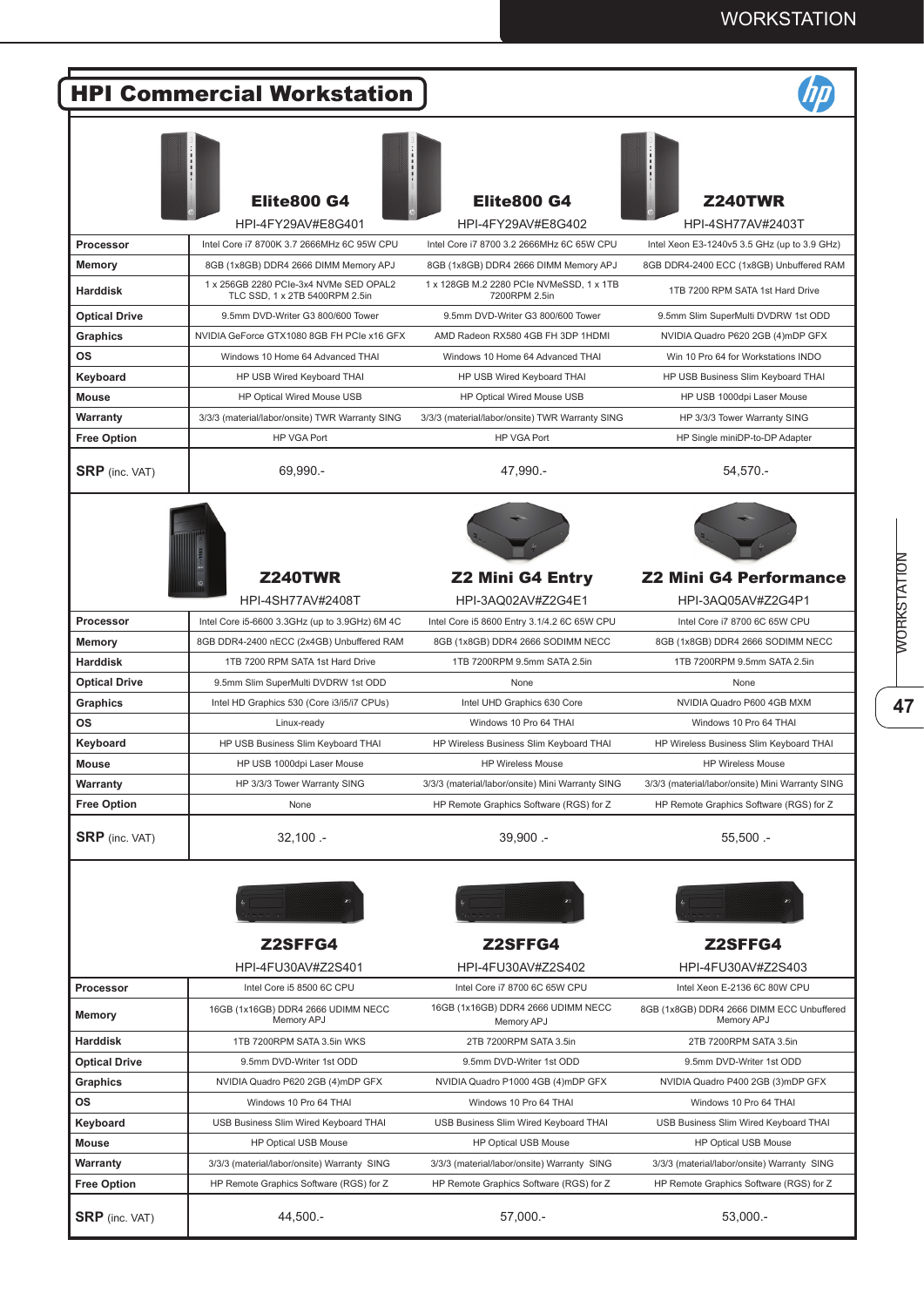|                       | <b>HPI Commercial Workstation</b>                                        |                                                           |                                                         |
|-----------------------|--------------------------------------------------------------------------|-----------------------------------------------------------|---------------------------------------------------------|
|                       | <b>Elite800 G4</b><br>HPI-4FY29AV#E8G401                                 | <b>Elite800 G4</b><br>HPI-4FY29AV#E8G402                  | <b>Z240TWR</b><br>HPI-4SH77AV#2403T                     |
| <b>Processor</b>      | Intel Core i7 8700K 3.7 2666MHz 6C 95W CPU                               | Intel Core i7 8700 3.2 2666MHz 6C 65W CPU                 | Intel Xeon E3-1240v5 3.5 GHz (up to 3.9 GHz)            |
| <b>Memory</b>         | 8GB (1x8GB) DDR4 2666 DIMM Memory APJ                                    | 8GB (1x8GB) DDR4 2666 DIMM Memory APJ                     | 8GB DDR4-2400 ECC (1x8GB) Unbuffered RAM                |
| <b>Harddisk</b>       | 1 x 256GB 2280 PCIe-3x4 NVMe SED OPAL2<br>TLC SSD, 1 x 2TB 5400RPM 2.5in | 1 x 128GB M.2 2280 PCIe NVMeSSD, 1 x 1TB<br>7200RPM 2.5in | 1TB 7200 RPM SATA 1st Hard Drive                        |
| <b>Optical Drive</b>  | 9.5mm DVD-Writer G3 800/600 Tower                                        | 9.5mm DVD-Writer G3 800/600 Tower                         | 9.5mm Slim SuperMulti DVDRW 1st ODD                     |
| Graphics              | NVIDIA GeForce GTX1080 8GB FH PCIe x16 GFX                               | AMD Radeon RX580 4GB FH 3DP 1HDMI                         | NVIDIA Quadro P620 2GB (4)mDP GFX                       |
| <b>OS</b>             | Windows 10 Home 64 Advanced THAI                                         | Windows 10 Home 64 Advanced THAI                          | Win 10 Pro 64 for Workstations INDO                     |
| Keyboard              | HP USB Wired Keyboard THAI                                               | HP USB Wired Keyboard THAI                                | HP USB Business Slim Keyboard THAI                      |
| <b>Mouse</b>          | HP Optical Wired Mouse USB                                               | HP Optical Wired Mouse USB                                | HP USB 1000dpi Laser Mouse                              |
| Warranty              | 3/3/3 (material/labor/onsite) TWR Warranty SING                          | 3/3/3 (material/labor/onsite) TWR Warranty SING           | HP 3/3/3 Tower Warranty SING                            |
| <b>Free Option</b>    | <b>HP VGA Port</b>                                                       | <b>HP VGA Port</b>                                        | HP Single miniDP-to-DP Adapter                          |
|                       |                                                                          |                                                           |                                                         |
| <b>SRP</b> (inc. VAT) | 69,990.-                                                                 | 47,990.-                                                  | 54,570.-                                                |
|                       |                                                                          |                                                           |                                                         |
|                       | <b>Z240TWR</b>                                                           | <b>Z2 Mini G4 Entry</b>                                   | <b>Z2 Mini G4 Performance</b>                           |
|                       | HPI-4SH77AV#2408T                                                        | HPI-3AQ02AV#Z2G4E1                                        | HPI-3AQ05AV#Z2G4P1                                      |
| Processor             | Intel Core i5-6600 3.3GHz (up to 3.9GHz) 6M 4C                           | Intel Core i5 8600 Entry 3.1/4.2 6C 65W CPU               | Intel Core i7 8700 6C 65W CPU                           |
| <b>Memory</b>         | 8GB DDR4-2400 nECC (2x4GB) Unbuffered RAM                                | 8GB (1x8GB) DDR4 2666 SODIMM NECC                         | 8GB (1x8GB) DDR4 2666 SODIMM NECC                       |
| <b>Harddisk</b>       | 1TB 7200 RPM SATA 1st Hard Drive                                         | 1TB 7200RPM 9.5mm SATA 2.5in                              | 1TB 7200RPM 9.5mm SATA 2.5in                            |
| <b>Optical Drive</b>  | 9.5mm Slim SuperMulti DVDRW 1st ODD                                      | None                                                      | None                                                    |
| Graphics              | Intel HD Graphics 530 (Core i3/i5/i7 CPUs)                               | Intel UHD Graphics 630 Core                               | NVIDIA Quadro P600 4GB MXM                              |
| <b>OS</b>             | Linux-ready                                                              | Windows 10 Pro 64 THAI                                    | Windows 10 Pro 64 THAI                                  |
| Keyboard              | HP USB Business Slim Keyboard THAI                                       | HP Wireless Business Slim Keyboard THAI                   | HP Wireless Business Slim Keyboard THAI                 |
| <b>Mouse</b>          | HP USB 1000dpi Laser Mouse                                               | <b>HP Wireless Mouse</b>                                  | <b>HP Wireless Mouse</b>                                |
| Warranty              | HP 3/3/3 Tower Warranty SING                                             | 3/3/3 (material/labor/onsite) Mini Warranty SING          | 3/3/3 (material/labor/onsite) Mini Warranty SING        |
| <b>Free Option</b>    | None                                                                     | HP Remote Graphics Software (RGS) for Z                   | HP Remote Graphics Software (RGS) for Z                 |
| <b>SRP</b> (inc. VAT) | $32,100 -$                                                               | 39,900 .-                                                 | $55,500 -$                                              |
|                       | <b>Z2SFFG4</b>                                                           | Z2SFFG4                                                   | Z2SFFG4                                                 |
|                       | HPI-4FU30AV#Z2S401                                                       | HPI-4FU30AV#Z2S402                                        | HPI-4FU30AV#Z2S403                                      |
|                       | Intel Core i5 8500 6C CPU                                                | Intel Core i7 8700 6C 65W CPU                             | Intel Xeon E-2136 6C 80W CPU                            |
| Processor<br>Memory   | 16GB (1x16GB) DDR4 2666 UDIMM NECC<br>Memory APJ                         | 16GB (1x16GB) DDR4 2666 UDIMM NECC<br>Memory APJ          | 8GB (1x8GB) DDR4 2666 DIMM ECC Unbuffered<br>Memory APJ |
| <b>Harddisk</b>       | 1TB 7200RPM SATA 3.5in WKS                                               | 2TB 7200RPM SATA 3.5in                                    | 2TB 7200RPM SATA 3.5in                                  |
| <b>Optical Drive</b>  | 9.5mm DVD-Writer 1st ODD                                                 | 9.5mm DVD-Writer 1st ODD                                  | 9.5mm DVD-Writer 1st ODD                                |
| Graphics              | NVIDIA Quadro P620 2GB (4)mDP GFX                                        | NVIDIA Quadro P1000 4GB (4)mDP GFX                        | NVIDIA Quadro P400 2GB (3)mDP GFX                       |
| ΟS                    | Windows 10 Pro 64 THAI                                                   | Windows 10 Pro 64 THAI                                    | Windows 10 Pro 64 THAI                                  |
|                       |                                                                          |                                                           |                                                         |
| Keyboard              | USB Business Slim Wired Keyboard THAI                                    | USB Business Slim Wired Keyboard THAI                     | USB Business Slim Wired Keyboard THAI                   |
| Mouse                 | HP Optical USB Mouse                                                     | HP Optical USB Mouse                                      | HP Optical USB Mouse                                    |
| Warranty              | 3/3/3 (material/labor/onsite) Warranty SING                              | 3/3/3 (material/labor/onsite) Warranty SING               | 3/3/3 (material/labor/onsite) Warranty SING             |
| <b>Free Option</b>    | HP Remote Graphics Software (RGS) for Z                                  | HP Remote Graphics Software (RGS) for Z                   | HP Remote Graphics Software (RGS) for Z                 |
| <b>SRP</b> (inc. VAT) | 44,500.-                                                                 | 57,000.-                                                  | 53,000.-                                                |

47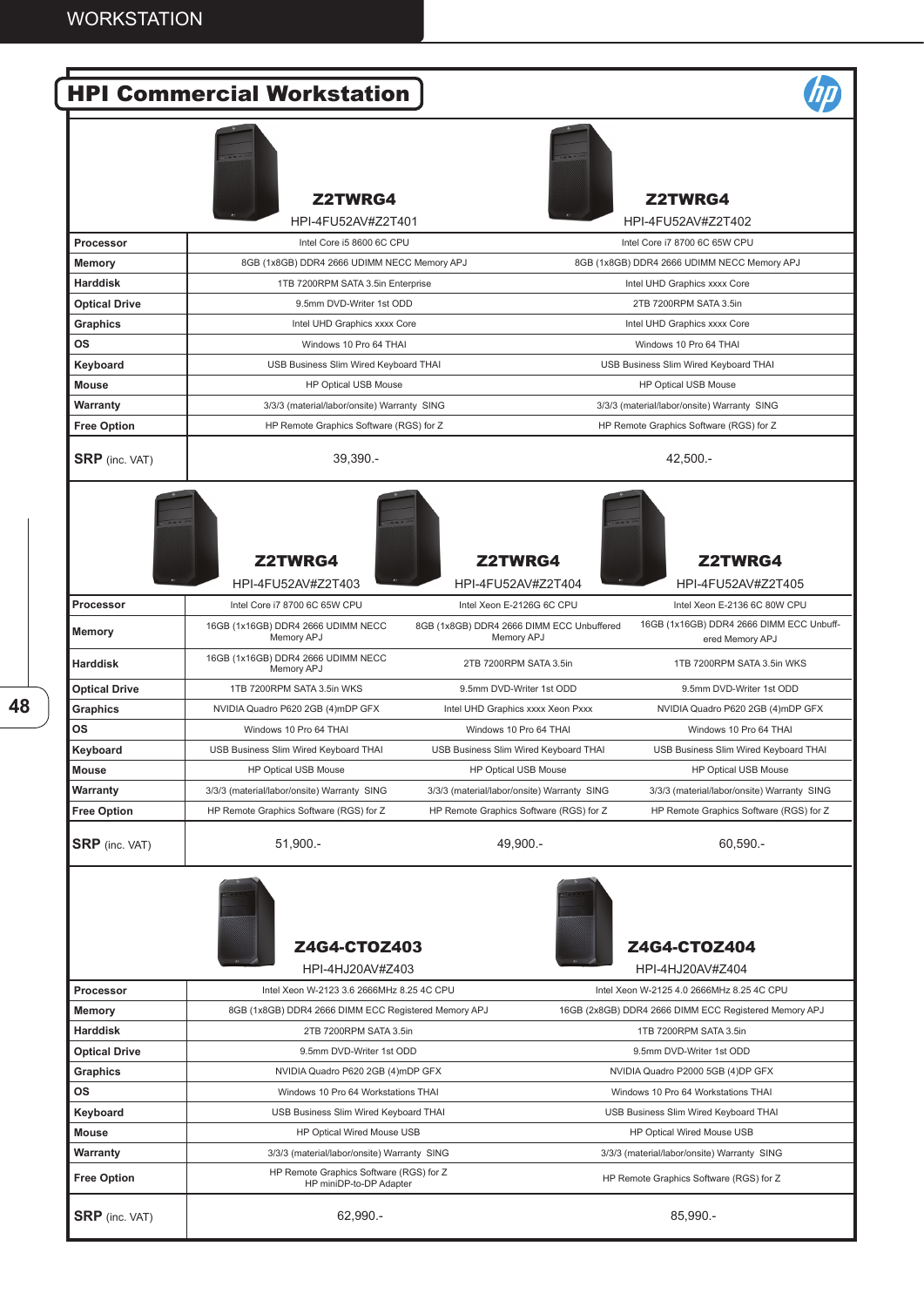|                       | <b>HPI Commercial Workstation</b>                                   |                                                                                    |                                                             |  |
|-----------------------|---------------------------------------------------------------------|------------------------------------------------------------------------------------|-------------------------------------------------------------|--|
|                       | <b>Z2TWRG4</b><br>HPI-4FU52AV#Z2T401                                |                                                                                    | <b>Z2TWRG4</b><br>HPI-4FU52AV#Z2T402                        |  |
| Processor             | Intel Core i5 8600 6C CPU                                           |                                                                                    | Intel Core i7 8700 6C 65W CPU                               |  |
| Memory                | 8GB (1x8GB) DDR4 2666 UDIMM NECC Memory APJ                         |                                                                                    | 8GB (1x8GB) DDR4 2666 UDIMM NECC Memory APJ                 |  |
| <b>Harddisk</b>       | 1TB 7200RPM SATA 3.5in Enterprise                                   |                                                                                    | Intel UHD Graphics xxxx Core                                |  |
| <b>Optical Drive</b>  | 9.5mm DVD-Writer 1st ODD                                            |                                                                                    | 2TB 7200RPM SATA 3.5in                                      |  |
| Graphics              | Intel UHD Graphics xxxx Core                                        |                                                                                    | Intel UHD Graphics xxxx Core                                |  |
| ΟS                    | Windows 10 Pro 64 THAI                                              |                                                                                    | Windows 10 Pro 64 THAI                                      |  |
| Keyboard              | USB Business Slim Wired Keyboard THAI                               |                                                                                    | USB Business Slim Wired Keyboard THAI                       |  |
| <b>Mouse</b>          |                                                                     |                                                                                    |                                                             |  |
|                       | HP Optical USB Mouse<br>3/3/3 (material/labor/onsite) Warranty SING |                                                                                    | HP Optical USB Mouse                                        |  |
| Warranty              |                                                                     |                                                                                    | 3/3/3 (material/labor/onsite) Warranty SING                 |  |
| <b>Free Option</b>    | HP Remote Graphics Software (RGS) for Z                             |                                                                                    | HP Remote Graphics Software (RGS) for Z                     |  |
| <b>SRP</b> (inc. VAT) | 39.390.-                                                            |                                                                                    | 42,500 .-                                                   |  |
|                       | <b>Z2TWRG4</b><br>HPI-4FU52AV#Z2T403                                | <b>Z2TWRG4</b><br>HPI-4FU52AV#Z2T404                                               | <b>Z2TWRG4</b><br>HPI-4FU52AV#Z2T405                        |  |
| <b>Processor</b>      | Intel Core i7 8700 6C 65W CPU                                       | Intel Xeon E-2126G 6C CPU                                                          | Intel Xeon E-2136 6C 80W CPU                                |  |
| Memory                | 16GB (1x16GB) DDR4 2666 UDIMM NECC<br>Memory APJ                    | 8GB (1x8GB) DDR4 2666 DIMM ECC Unbuffered<br>Memory APJ                            | 16GB (1x16GB) DDR4 2666 DIMM ECC Unbuff-<br>ered Memory APJ |  |
| <b>Harddisk</b>       | 16GB (1x16GB) DDR4 2666 UDIMM NECC<br>Memory APJ                    | 2TB 7200RPM SATA 3.5in                                                             | 1TB 7200RPM SATA 3.5in WKS                                  |  |
| <b>Optical Drive</b>  | 1TB 7200RPM SATA 3.5in WKS                                          | 9.5mm DVD-Writer 1st ODD                                                           | 9.5mm DVD-Writer 1st ODD                                    |  |
| <b>Graphics</b>       | NVIDIA Quadro P620 2GB (4)mDP GFX                                   | Intel UHD Graphics xxxx Xeon Pxxx                                                  | NVIDIA Quadro P620 2GB (4)mDP GFX                           |  |
| ΟS                    | Windows 10 Pro 64 THAI                                              | Windows 10 Pro 64 THAI                                                             | Windows 10 Pro 64 THAI                                      |  |
| Keyboard              | USB Business Slim Wired Keyboard THAI                               | USB Business Slim Wired Keyboard THAI                                              | USB Business Slim Wired Keyboard THAI                       |  |
| <b>Mouse</b>          | HP Optical USB Mouse                                                | <b>HP Optical USB Mouse</b>                                                        | HP Optical USB Mouse                                        |  |
| Warranty              | 3/3/3 (material/labor/onsite) Warranty SING                         | 3/3/3 (material/labor/onsite) Warranty SING                                        | 3/3/3 (material/labor/onsite) Warranty SING                 |  |
| <b>Free Option</b>    | HP Remote Graphics Software (RGS) for Z                             | HP Remote Graphics Software (RGS) for Z                                            | HP Remote Graphics Software (RGS) for Z                     |  |
| <b>SRP</b> (inc. VAT) | $51,900 -$                                                          | 49,900 .-                                                                          | 60,590.                                                     |  |
|                       | Z4G4-CTOZ403<br>HPI-4HJ20AV#Z403                                    |                                                                                    | Z4G4-CTOZ404<br>HPI-4HJ20AV#Z404                            |  |
| Processor             | Intel Xeon W-2123 3.6 2666MHz 8.25 4C CPU                           |                                                                                    | Intel Xeon W-2125 4.0 2666MHz 8.25 4C CPU                   |  |
| Memory                | 8GB (1x8GB) DDR4 2666 DIMM ECC Registered Memory APJ                |                                                                                    | 16GB (2x8GB) DDR4 2666 DIMM ECC Registered Memory APJ       |  |
| <b>Harddisk</b>       | 2TB 7200RPM SATA 3.5in                                              |                                                                                    | 1TB 7200RPM SATA 3.5in                                      |  |
| <b>Optical Drive</b>  | 9.5mm DVD-Writer 1st ODD                                            |                                                                                    | 9.5mm DVD-Writer 1st ODD                                    |  |
| Graphics              | NVIDIA Quadro P620 2GB (4)mDP GFX                                   |                                                                                    | NVIDIA Quadro P2000 5GB (4)DP GFX                           |  |
| ΟS                    | Windows 10 Pro 64 Workstations THAI                                 |                                                                                    | Windows 10 Pro 64 Workstations THAI                         |  |
| Keyboard              | USB Business Slim Wired Keyboard THAI                               |                                                                                    | USB Business Slim Wired Keyboard THAI                       |  |
| Mouse                 | HP Optical Wired Mouse USB                                          |                                                                                    | HP Optical Wired Mouse USB                                  |  |
| Warranty              | 3/3/3 (material/labor/onsite) Warranty SING                         |                                                                                    | 3/3/3 (material/labor/onsite) Warranty SING                 |  |
| <b>Free Option</b>    | HP miniDP-to-DP Adapter                                             | HP Remote Graphics Software (RGS) for Z<br>HP Remote Graphics Software (RGS) for Z |                                                             |  |
| <b>SRP</b> (inc. VAT) | 62,990.-                                                            |                                                                                    | 85,990.-                                                    |  |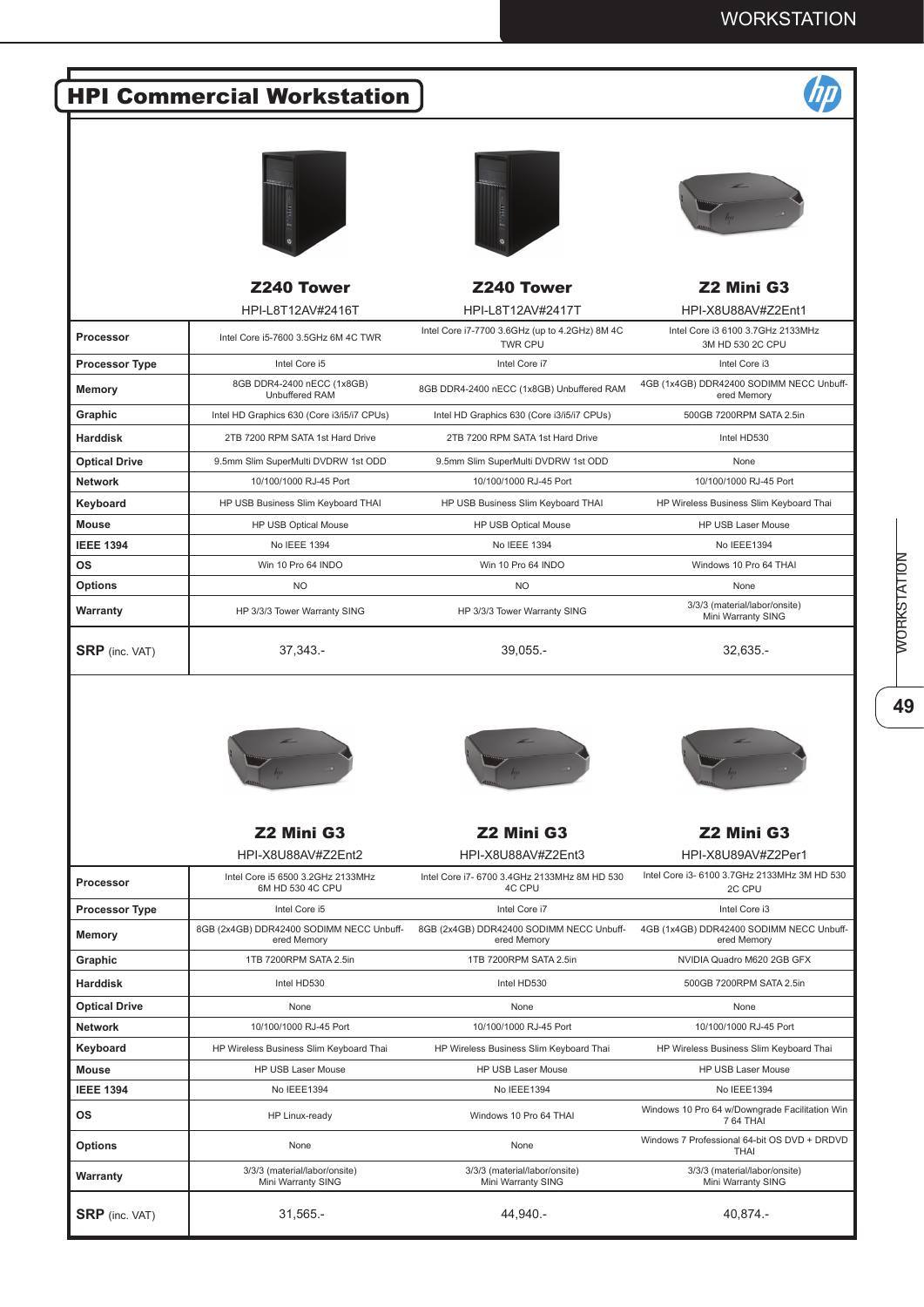## HPI Commercial Workstation



|                       | <b>Z240 Tower</b>                                   | <b>Z240 Tower</b>                                                | Z2 Mini G3                                              |
|-----------------------|-----------------------------------------------------|------------------------------------------------------------------|---------------------------------------------------------|
|                       | HPI-L8T12AV#2416T                                   | HPI-L8T12AV#2417T                                                | HPI-X8U88AV#Z2Ent1                                      |
| Processor             | Intel Core i5-7600 3.5GHz 6M 4C TWR                 | Intel Core i7-7700 3.6GHz (up to 4.2GHz) 8M 4C<br><b>TWR CPU</b> | Intel Core i3 6100 3.7GHz 2133MHz<br>3M HD 530 2C CPU   |
| <b>Processor Type</b> | Intel Core i5                                       | Intel Core i7                                                    | Intel Core i3                                           |
| Memory                | 8GB DDR4-2400 nECC (1x8GB)<br><b>Unbuffered RAM</b> | 8GB DDR4-2400 nECC (1x8GB) Unbuffered RAM                        | 4GB (1x4GB) DDR42400 SODIMM NECC Unbuff-<br>ered Memory |
| Graphic               | Intel HD Graphics 630 (Core i3/i5/i7 CPUs)          | Intel HD Graphics 630 (Core i3/i5/i7 CPUs)                       | 500GB 7200RPM SATA 2.5in                                |
| <b>Harddisk</b>       | 2TB 7200 RPM SATA 1st Hard Drive                    | 2TB 7200 RPM SATA 1st Hard Drive                                 | Intel HD530                                             |
| <b>Optical Drive</b>  | 9.5mm Slim SuperMulti DVDRW 1st ODD                 | 9.5mm Slim SuperMulti DVDRW 1st ODD                              | None                                                    |
| <b>Network</b>        | 10/100/1000 RJ-45 Port                              | 10/100/1000 RJ-45 Port                                           | 10/100/1000 RJ-45 Port                                  |
| Keyboard              | HP USB Business Slim Keyboard THAI                  | HP USB Business Slim Keyboard THAI                               | HP Wireless Business Slim Keyboard Thai                 |
| <b>Mouse</b>          | <b>HP USB Optical Mouse</b>                         | HP USB Optical Mouse                                             | <b>HP USB Laser Mouse</b>                               |
| <b>IEEE 1394</b>      | No IEEE 1394                                        | No IEEE 1394                                                     | No IEEE1394                                             |
| <b>OS</b>             | Win 10 Pro 64 INDO                                  | Win 10 Pro 64 INDO                                               | Windows 10 Pro 64 THAI                                  |
| <b>Options</b>        | <b>NO</b>                                           | <b>NO</b>                                                        | None                                                    |
| Warranty              | HP 3/3/3 Tower Warranty SING                        | HP 3/3/3 Tower Warranty SING                                     | 3/3/3 (material/labor/onsite)<br>Mini Warranty SING     |
| <b>SRP</b> (inc. VAT) | 37,343.-                                            | $39,055. -$                                                      | $32,635. -$                                             |





Z2 Mini G3 Z2 Mini G3 Z2 Mini G3 HPI-X8U88AV#Z2Ent2 HPI-X8U88AV#Z2Ent3 HPI-X8U89AV#Z2Per1 **Processor** Intel Core i5 6500 3.2GHz 2133MHz 6M HD 530 4C CPU Intel Core i7- 6700 3.4GHz 2133MHz 8M HD 530 4C CPU 2C CPU **Processor Type Intel Core is** Intel Core is **Intel Core intel Core is** Intel Core intel Core is **Memory** 8GB (2x4GB) DDR42400 SODIMM NECC Unbuffered Memory 8GB (2x4GB) DDR42400 SODIMM NECC Unbuffered Memory ered Memory **Graphic** 1TB 7200RPM SATA 2.5in 1TB 7200RPM SATA 2.5in NVIDIA Quadro M620 2GB GFX **Harddisk** Intel HD530 Intel HD530 500GB 7200RPM SATA 2.5in **Optical Drive** None None None **Network** 10/100/1000 RJ-45 Port 10/100/1000 RJ-45 Port 10/100/1000 RJ-45 Port **Keyboard** HP Wireless Business Slim Keyboard Thai HP Wireless Business Slim Keyboard Thai HP Wireless Business Slim Keyboard Thai **Mouse HP USB Laser Mouse** HP USB Laser Mouse HP USB Laser Mouse HP USB Laser Mouse **IEEE 1394** No IEEE1394 No IEEE1394 No IEEE1394 **OS** HP Linux-ready Windows 10 Pro 64 THAI Windows 10 Pro 64 w/Downgrade Facilitation Win 7 64 THAI **Options** The Mone None None None None None None None Windows 7 Professional 64-bit OS DVD + DRDVD<br>THAI **Warranty** 3/3/3 (material/labor/onsite) Mini Warranty SING 3/3/3 (material/labor/onsite) Mini Warranty SING 3/3/3 (material/labor/onsite) Mini Warranty SING **SRP** (inc. VAT) 31,565.- 31,565.- 44,940.- 44,940.- 49,874.-

49



Intel Core i3- 6100 3.7GHz 2133MHz 3M HD 530 4GB (1x4GB) DDR42400 SODIMM NECC Unbuff-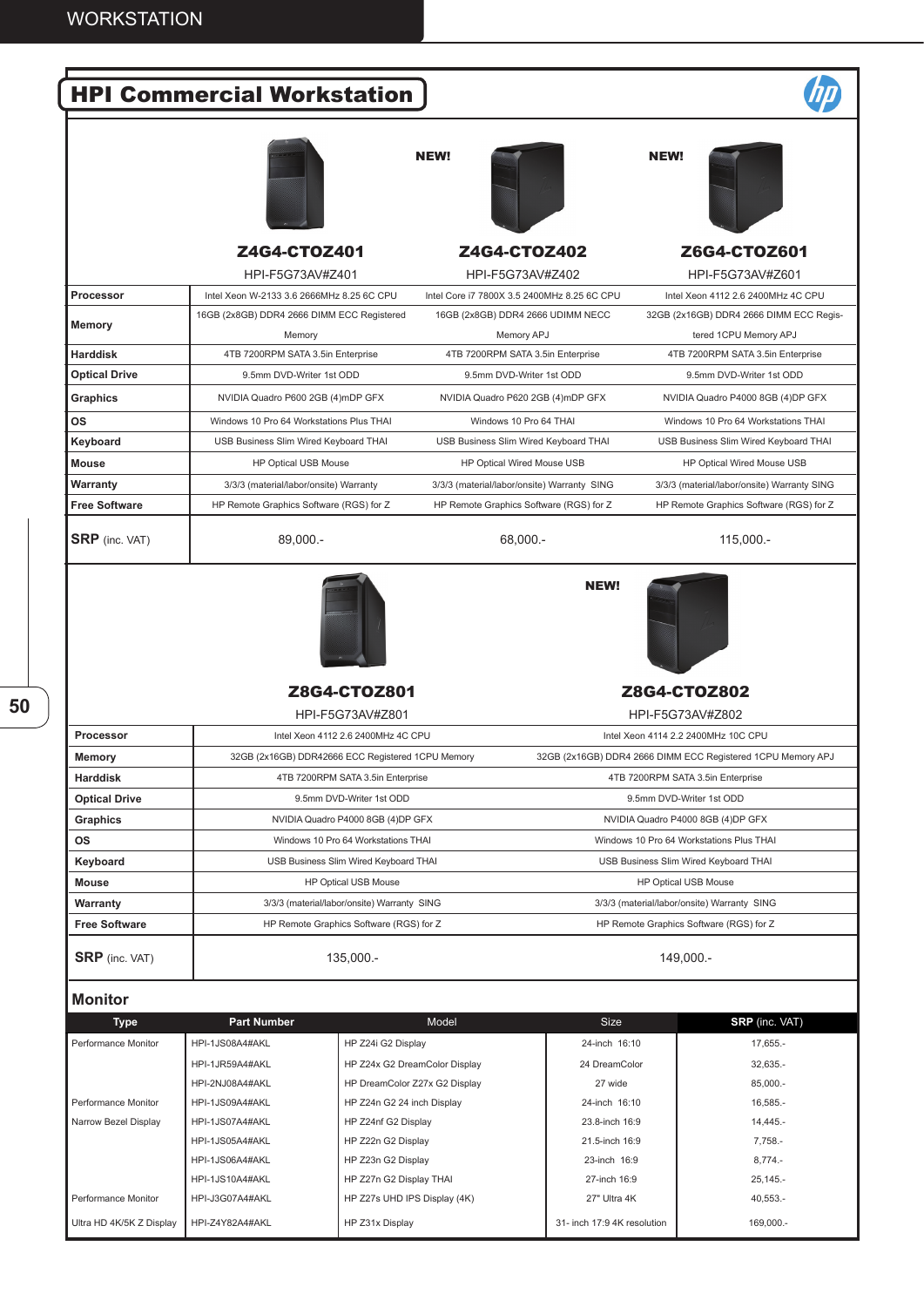|                       | <b>HPI Commercial Workstation</b>                 |                                             |                |                                                             |
|-----------------------|---------------------------------------------------|---------------------------------------------|----------------|-------------------------------------------------------------|
|                       |                                                   | NEW!                                        | <b>NEW!</b>    |                                                             |
|                       | Z4G4-CT0Z401<br>HPI-F5G73AV#Z401                  | <b>Z4G4-CTOZ402</b><br>HPI-F5G73AV#Z402     |                | Z6G4-CTOZ601<br>HPI-F5G73AV#Z601                            |
| Processor             | Intel Xeon W-2133 3.6 2666MHz 8.25 6C CPU         | Intel Core i7 7800X 3.5 2400MHz 8.25 6C CPU |                | Intel Xeon 4112 2.6 2400MHz 4C CPU                          |
|                       | 16GB (2x8GB) DDR4 2666 DIMM ECC Registered        | 16GB (2x8GB) DDR4 2666 UDIMM NECC           |                | 32GB (2x16GB) DDR4 2666 DIMM ECC Regis-                     |
| <b>Memory</b>         | Memory                                            | Memory APJ                                  |                | tered 1CPU Memory APJ                                       |
| <b>Harddisk</b>       | 4TB 7200RPM SATA 3.5in Enterprise                 | 4TB 7200RPM SATA 3.5in Enterprise           |                | 4TB 7200RPM SATA 3.5in Enterprise                           |
| <b>Optical Drive</b>  | 9.5mm DVD-Writer 1st ODD                          | 9.5mm DVD-Writer 1st ODD                    |                | 9.5mm DVD-Writer 1st ODD                                    |
| Graphics              | NVIDIA Quadro P600 2GB (4)mDP GFX                 | NVIDIA Quadro P620 2GB (4)mDP GFX           |                | NVIDIA Quadro P4000 8GB (4)DP GFX                           |
|                       |                                                   |                                             |                |                                                             |
| ΟS                    | Windows 10 Pro 64 Workstations Plus THAI          | Windows 10 Pro 64 THAI                      |                | Windows 10 Pro 64 Workstations THAI                         |
| Keyboard              | USB Business Slim Wired Keyboard THAI             | USB Business Slim Wired Keyboard THAI       |                | USB Business Slim Wired Keyboard THAI                       |
| <b>Mouse</b>          | HP Optical USB Mouse                              | HP Optical Wired Mouse USB                  |                | HP Optical Wired Mouse USB                                  |
| Warranty              | 3/3/3 (material/labor/onsite) Warranty            | 3/3/3 (material/labor/onsite) Warranty SING |                | 3/3/3 (material/labor/onsite) Warranty SING                 |
| <b>Free Software</b>  | HP Remote Graphics Software (RGS) for Z           | HP Remote Graphics Software (RGS) for Z     |                | HP Remote Graphics Software (RGS) for Z                     |
| <b>SRP</b> (inc. VAT) | 89,000 .-                                         | 68,000.-                                    |                | $115,000 -$                                                 |
|                       | Z8G4-CTOZ801                                      |                                             |                | Z8G4-CTOZ802                                                |
|                       | HPI-F5G73AV#Z801                                  |                                             |                | HPI-F5G73AV#Z802                                            |
| Processor             | Intel Xeon 4112 2.6 2400MHz 4C CPU                |                                             |                | Intel Xeon 4114 2.2 2400MHz 10C CPU                         |
| <b>Memory</b>         | 32GB (2x16GB) DDR42666 ECC Registered 1CPU Memory |                                             |                | 32GB (2x16GB) DDR4 2666 DIMM ECC Registered 1CPU Memory APJ |
| <b>Harddisk</b>       | 4TB 7200RPM SATA 3.5in Enterprise                 |                                             |                | 4TB 7200RPM SATA 3.5in Enterprise                           |
| <b>Optical Drive</b>  | 9.5mm DVD-Writer 1st ODD                          |                                             |                | 9.5mm DVD-Writer 1st ODD                                    |
| Graphics              | NVIDIA Quadro P4000 8GB (4)DP GFX                 |                                             |                | NVIDIA Quadro P4000 8GB (4)DP GFX                           |
| os                    | Windows 10 Pro 64 Workstations THAI               |                                             |                | Windows 10 Pro 64 Workstations Plus THAI                    |
| Keyboard              | USB Business Slim Wired Keyboard THAI             |                                             |                | USB Business Slim Wired Keyboard THAI                       |
| <b>Mouse</b>          | <b>HP Optical USB Mouse</b>                       |                                             |                | HP Optical USB Mouse                                        |
| <b>Warranty</b>       | 3/3/3 (material/labor/onsite) Warranty SING       |                                             |                | 3/3/3 (material/labor/onsite) Warranty SING                 |
| <b>Free Software</b>  | HP Remote Graphics Software (RGS) for Z           |                                             |                | HP Remote Graphics Software (RGS) for Z                     |
| <b>SRP</b> (inc. VAT) | $135,000 -$                                       |                                             |                | 149,000 .-                                                  |
| <b>Monitor</b>        |                                                   |                                             |                |                                                             |
| <b>Type</b>           | <b>Part Number</b>                                | Model                                       | <b>Size</b>    | SRP (inc. VAT)                                              |
| Performance Monitor   | HPI-1JS08A4#AKL                                   | HP Z24i G2 Display                          | 24-inch 16:10  | 17,655.-                                                    |
|                       | HPI-1JR59A4#AKL                                   | HP Z24x G2 DreamColor Display               | 24 DreamColor  | $32,635. -$                                                 |
|                       | HPI-2NJ08A4#AKL                                   | HP DreamColor Z27x G2 Display               | 27 wide        | 85,000.-                                                    |
| Performance Monitor   | HPI-1JS09A4#AKL                                   | HP Z24n G2 24 inch Display                  | 24-inch 16:10  | 16,585.-                                                    |
| Narrow Bezel Display  | HPI-1JS07A4#AKL                                   | HP Z24nf G2 Display                         | 23.8-inch 16:9 | 14,445.-                                                    |
|                       | HPI-1JS05A4#AKL                                   | HP Z22n G2 Display                          | 21.5-inch 16:9 | 7,758.-                                                     |
|                       | HPI-1JS06A4#AKL                                   | HP Z23n G2 Display                          | 23-inch 16:9   | 8,774.                                                      |
|                       |                                                   |                                             |                |                                                             |
|                       | HPI-1JS10A4#AKL                                   | HP Z27n G2 Display THAI                     | 27-inch 16:9   | $25,145. -$                                                 |

Ultra HD 4K/5K Z Display | HPI-Z4Y82A4#AKL | HP Z31x Display | 31- inch 17:9 4K resolution | 169,000.-